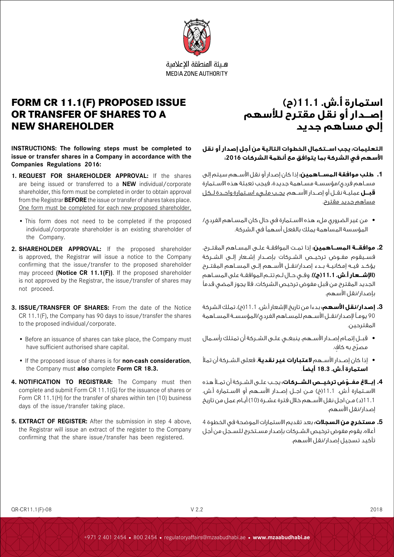

هلئة المنطقة الاعلامية **MEDIA ZONE AUTHORITY** 

# **FORM CR 11.1(F) PROPOSED ISSUE OR TRANSFER OF SHARES TO A NEW SHAREHOLDER**

**INSTRUCTIONS: The following steps must be completed to issue or transfer shares in a Company in accordance with the Companies Regulations 2016:** 

- **1. REQUEST FOR SHAREHOLDER APPROVAL:** If the shares are being issued or transferred to a **NEW** individual/corporate shareholder, this form must be completed in order to obtain approval from the Registrar **BEFORE** the issue or transfer of shares takes place. One form must be completed for each new proposed shareholder.
	- This form does not need to be completed if the proposed individual/corporate shareholder is an existing shareholder of the Company.
- **2. SHAREHOLDER APPROVAL:** If the proposed shareholder is approved, the Registrar will issue a notice to the Company confirming that the issue/transfer to the proposed shareholder may proceed **(Notice CR 11.1(F))**. If the proposed shareholder is not approved by the Registrar, the issue/transfer of shares may not proceed.
- **3. ISSUE/TRANSFER OF SHARES:** From the date of the Notice CR 11.1(F), the Company has 90 days to issue/transfer the shares to the proposed individual/corporate.
	- Before an issuance of shares can take place, the Company must have sufficient authorised share capital.
	- If the proposed issue of shares is for **non-cash consideration**, the Company must **also** complete **Form CR 18.3.**
- **4. NOTIFICATION TO REGISTRAR:** The Company must then complete and submit Form CR 11.1(G) for the issuance of shares or Form CR 11.1(H) for the transfer of shares within ten (10) business days of the issue/transfer taking place.
- **5. EXTRACT OF REGISTER:** After the submission in step 4 above, the Registrar will issue an extract of the register to the Company confirming that the share issue/transfer has been registered.

# **استمارة أ.ش. 11.1)ح( إصــدار أو نقل مقترح لألسهم إلى مساهم جديد**

**التعليمات: يجب اســتكمال الخطوات التالية من أجل إصدار أو نقل األسهم في الشركة بما يتوافق مع أنظمة الشركات :2016** 

- **.1 طلب موافقة المســاهمين:** إذا كان إصدار أو نقل األســهم سيتم إلى مســاهم فردي/مؤسســة مســاهمة جديدة، فيجب تعبئة هذه االســتمارة **قبــل** عمليــة نقــل أو إصــدار األســهم. يجــب ملــيء اســتمارة واحــدة لــكل مساهم جديد مقترح.
- من غير الضروري ملء هذه االســتمارة في حال كان المســاهم الفردي/ المؤسسة المساهمة يملك بالفعل أسهمًا في الشركة.
- **.2 موافقــة المســاهمين:** إذا تمــت الموافقــة علــى المســاهم المقتــرح، فســيقوم مفــوض ترخيــص الشــركات بإصــدار إشــعار إلــى الشــركة يؤكــد فيــه إمكانيــة بــدء إصدار/نقــل األســهم إلــى المســاهم المقتــرح **)اإلشــعار أ.ش. 11.1)ح((**. وفــي حــال لــم تتــم الموافقــة على المســاهم الجديد المقترح من قبل مفوض ترخيص الشركات، فال يجوز المضي قدمًا بإصدار/نقل األسهم.
- **.3 إصدار/نقل األسهم:** بدءا من تاريخ اإلشعار أ.ش. 11.1)ح(، تملك الشركة 90 يومــً إلصدار/نقــل األســهم للمســاهم الفردي/المؤسســة المســاهمة المقترحين.
- قبــل إتمــام إصــدار األســهم، ينبغــي علــى الشــركة أن تمتلك رأســمال ّ مصر ٍ ح به كاف.
- إذا كان إصــدار األســهم **العتبارات غير نقدية**، فعلى الشــركة أن تمأل **استمارة أ.ش. 18.3 أيضًا**.
- **.4 ّ إبــاغ مفــوض ترخيــص الشــركات:** يجــب علــى الشــركة أن تمــأ هذه الاســتمارة أ.ش. 11.1(خ) مــن اجــل إصــدار الأســهم أو الاســتمارة أ.ش. 11.1)د( مــن اجل نقل األســهم خالل فترة عشــرة )10( أيــام عمل من تاريخ إصدار/نقل األسهم.
- **.5 مستخرج من السجالت:** بعد تقديم االستمارات الموضحة في الخطوة 4 أعاله، يقوم مفوض ترخيص الشــركات بإصدار مســتخرج للســجل من أجل تأكيد تسجيل إصدار/نقل األسهم.

QR-CR11.1(F)-08 V 2.2 2018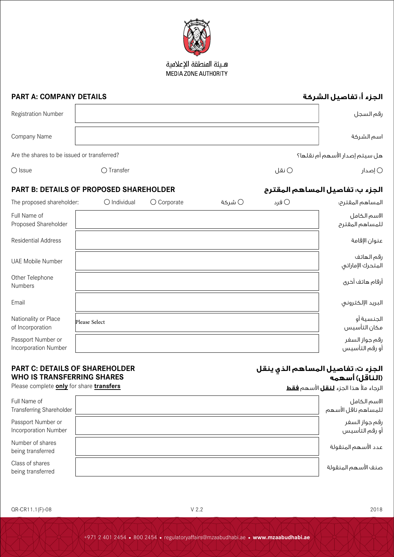

هبئة المنطقة الاعلامية MEDIA ZONE AUTHORITY

## **PART A: COMPANY DETAILS**

 $\mathbf{r}$ 

| <b>Registration Number</b>                  |                     |       | رقم السجل                      |
|---------------------------------------------|---------------------|-------|--------------------------------|
| Company Name                                |                     |       | اسم الشركة                     |
| Are the shares to be issued or transferred? |                     |       | هل سيتم إصدار الأسهم أم نقلها؟ |
| $\bigcirc$ Issue                            | $\bigcirc$ Transfer | ⊖ نقل | اصدار $\circlearrowright$      |

## **PART B: DETAILS OF PROPOSED SHAREHOLDER المقترح المساهم تفاصيل :ب الجزء**

| The proposed shareholder:                  | $\bigcirc$ Individual | $\bigcirc$ Corporate | شركة $\bigcirc$ | ⊖ فرد | المساهم المقترح؛                 |
|--------------------------------------------|-----------------------|----------------------|-----------------|-------|----------------------------------|
| Full Name of<br>Proposed Shareholder       |                       |                      |                 |       | الاسم الكامل<br>للمساهم المقترح  |
| <b>Residential Address</b>                 |                       |                      |                 |       | عنوان الإقامة                    |
| UAE Mobile Number                          |                       |                      |                 |       | رقم الهاتف<br>المتحرك الإماراتي  |
| Other Telephone<br>Numbers                 |                       |                      |                 |       | أرقام هاتف أخرى                  |
| Email                                      |                       |                      |                 |       | البريد الإلكتروني                |
| Nationality or Place<br>of Incorporation   | Please Select         |                      |                 |       | الجنسية أو<br>مكان التأسيس       |
| Passport Number or<br>Incorporation Number |                       |                      |                 |       | رقم جواز السفر<br>أو رقم التأسيس |

### **PART C: DETAILS OF SHAREHOLDER WHO IS TRANSFERRING SHARES**

#### **الجزء ت: تفاصيل المساهم الذي ينقل )الناقل( أسهمه**

الرجاء مأل هذا الجزء **لنقل** األسهم **فقط**

Please complete **only** for share **transfers**

| Full Name of<br><b>Transferring Shareholder</b> | لاسم الكامل<br>للمساهم ناقل الأسهم |
|-------------------------------------------------|------------------------------------|
| Passport Number or<br>Incorporation Number      | رقم جواز السفر<br>أو رقم التأسيس   |
| Number of shares<br>being transferred           | عدد الأسهم المنقولة                |
| Class of shares<br>being transferred            | صنف الأسهم المنقولة                |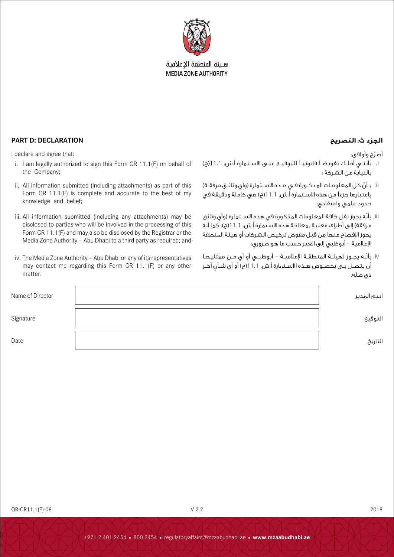

هبئة المنطقة الاعلامية **MEDIA ZONE AUTHORITY** 

أصرّح وأوافق:

- i. بأننــي أملــك تفويضــً قانونيــً للتوقيــع علــى االســتمارة أ.ش. 11.1)ح( بالنيابة عن الشركة ؛
- ii. بــأنّ كل المعلومـات المذكـورة فــي هــذه الاســتمارة (وأي وثائــق مرفقــة) باعتبارها جزءًا من هذه االســتمارة أ.ش. 11.1)ح( هي كاملة ودقيقة في حدود علمي واعتقادي؛
- iii. بأنّه يجوز نقل كافة المعلومات المذكورة في هذه الاسـتمارة (وأي وثائق مرفقة) إلى أطراف معنية بمعالجة هذه الاستمارة أ.ش. 11.1(م)، كما أنه يجوز اإلفصاح عنها من قبل مفوض ترخيص الشركات أو هيئة المنطقة اإلعالمية – أبوظبي إلى الغير حسب ما هو ضروري؛
- iv. بأنّـه يجــوز لـهيئــة المنطقــة الإعلاميــة أبوظبــي أو أي مــن ممثليهـا أن يتصــل بــى بخصــوص هــذه الاســتمارة أ.ش. 11.11(ح) أو أي شــأن آخــر ذي صلة.

| Name of Director | اسم المدير |
|------------------|------------|
| Signature        | التوقيع    |
| Date             | التاريخ    |

### **الجزء ث: التصريح DECLARATION :D PART**

I declare and agree that:

- i. I am legally authorized to sign this Form CR 11.1(F) on behalf of the Company;
- ii. All information submitted (including attachments) as part of this Form CR 11.1(F) is complete and accurate to the best of my knowledge and belief;
- iii. All information submitted (including any attachments) may be disclosed to parties who will be involved in the processing of this Form CR 11.1(F) and may also be disclosed by the Registrar or the Media Zone Authority – Abu Dhabi to a third party as required; and
- iv. The Media Zone Authority Abu Dhabi or any of its representatives may contact me regarding this Form CR 11.1(F) or any other matter.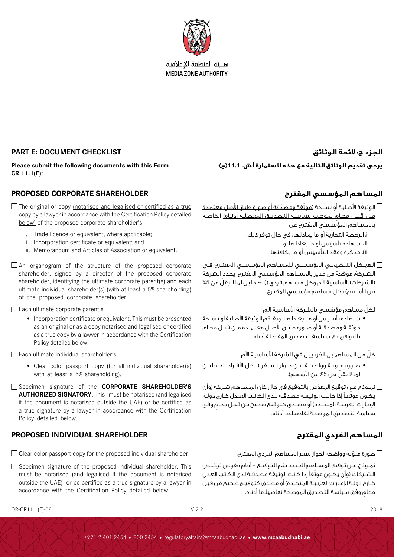

هلئة المنطقة الاعلامية **MEDIA ZONE AUTHORITY** 

**يرجى تقديم الوثائق التالية مع هذه االستمارة أ.ش. 11.1)ح(:**

### **الجزء ج: الئحة الوثائق CHECKLIST DOCUMENT :E PART**

**Please submit the following documents with this Form CR 11.1(F):**

### **المساهم المؤسسي المقترح SHAREHOLDER CORPORATE PROPOSED**

 $\Box$  The original or copy (notarised and legalised or certified as a true copy by a lawyer in accordance with the Certification Policy detailed below) of the proposed corporate shareholder's

- i. Trade licence or equivalent, where applicable;
- ii. Incorporation certificate or equivalent; and
- iii. Memorandum and Articles of Association or equivalent.
- $\Box$  An organogram of the structure of the proposed corporate shareholder, signed by a director of the proposed corporate shareholder, identifying the ultimate corporate parent(s) and each ultimate individual shareholder(s) (with at least a 5% shareholding) of the proposed corporate shareholder.

Each ultimate corporate parent's

• Incorporation certificate or equivalent. This must be presented as an original or as a copy notarised and legalised or certified as a true copy by a lawyer in accordance with the Certification Policy detailed below.

Each ultimate individual shareholder's

- Clear color passport copy (for all individual shareholder(s) with at least a 5% shareholding).
- Specimen signature of the **CORPORATE SHAREHOLDER'S AUTHORIZED SIGNATORY**. This must be notarised (and legalised if the document is notarised outside the UAE) or be certified as a true signature by a lawyer in accordance with the Certification Policy detailed below.

## **المساهم الفردي المقترح SHAREHOLDER INDIVIDUAL PROPOSED**

- Clear color passport copy for the proposed individual shareholder المقترح الفردي المساهم سفر لجواز وواضحة ملونة صورة ّ
- Specimen signature of the proposed individual shareholder. This must be notarised (and legalised if the document is notarised outside the UAE) or be certified as a true signature by a lawyer in accordance with the Certification Policy detailed below.

الوثيقة الأصلية أو نســخة <u>(موثّقة ومصدّقة أو صورة طبق الأصل معتمدة  $\Box$ </u> ٍ مــن قبــل محــام بموجــب سياســة التصديــق المفصلــة أدنــاه( الخاصــة بالمســاهم المؤسســي المقترح عن **i.**الرخصة التجارية أو ما يعادلها، في حال توفر ذلك؛ **iiii**شهادة تأسيس أو ما يعادلها؛ و **iiiii**مذكرة وعقد التأسيس أو ما يكافئها.

الهيــكل التنظيمــي المؤسســي للمســاهم المؤسســي المقتــرح فــي الشــركة، موقعة من مدير بالمســاهم المؤسسي المقترح، يحدد الشركة (الشركات) الأساسية الأم وكل مساهم فردي ((الحاملين لما لا يقلّ من 5% من الأسهم) بكل مساهم مؤسسي المقترح.

ن لكلّ مساهم مؤسّسي بالشركة الأساسية الأم $\Box$ 

 ّ شــهادة تأســيس أو مــا يعادلهــا. وتقــدم الوثيقة األصلية أو نســخة موثقــة ومصدقــة أو صــورة طبــق األصــل معتمــدة مــن قبــل محــام بالتوافق مع سياسة التصديق المفصلة أدناه.

ظ كلّ من المساهمين الفرديين في الشركة الأساسية الأم $\Box$ 

- صــورة ملونــة وواضحــة عــن جــواز الســفر )لــكل األفــراد الحامليــن لما لا يقلّ من 5% من الأسهم).
- نمـوذج عـن توقيع المفوّض بالتوقيع في حال كان المسـاهم شـركة (وأن  $\Box$ ّ يكــون موثقــً إذا كانــت الوثيقــة مصدقــة لــدى الكاتــب العــدل خــارج دولــة الإمـارات العربيــة المتحــدة) أو مصـدق كتوقيع صحيح من قبــل محام وفق سياسة التصديق الموضحة تفاصيلها أدناه.

نمــوذج عــن توقيع المســاهم الجديد يتم التوقيــع - أمام مفوض ترخيص الشــركات (وأن يكـون موثّقاً إذا كانت الوثيقة مصدقـة لدى الكاتب العدل خـارج دولــة الإمـارات العربيــة المتحــدة) أو مصدق كتوقيــع صحيح من قبـل ٍ محام وفق سياسة التصديق الموضحة تفاصيلها أدناه.